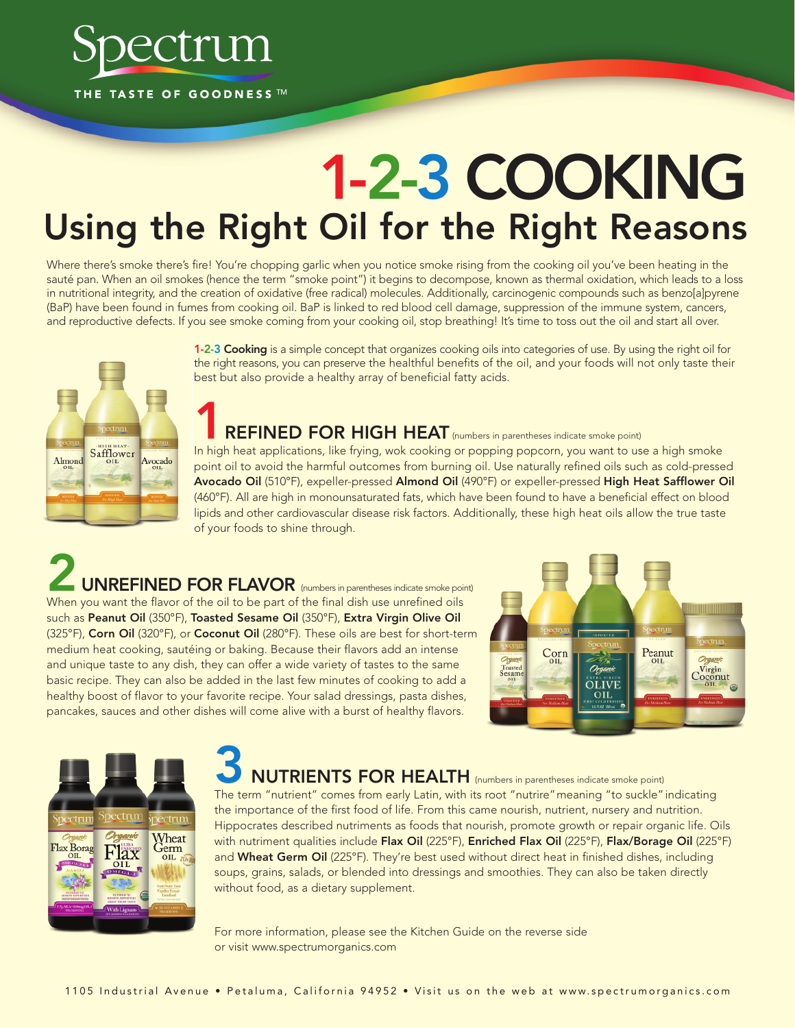

# **1-2-3 COOKING Using the Right Oil for the Right Reasons**

Where there's smoke there's fire! You're chopping garlic when you notice smoke rising from the cooking oil you've been heating in the sauté pan. When an oil smokes (hence the term "smoke point") it begins to decompose, known as thermal oxidation, which leads to a loss in nutritional integrity, and the creation of oxidative (free radical) molecules. Additionally, carcinogenic compounds such as benzo[a]pyrene (BaP) have been found in fumes from cooking oil. BaP is linked to red blood cell damage, suppression of the immune system, cancers, and reproductive defects. If you see smoke coming from your cooking oil, stop breathing! It's time to toss out the oil and start all over.



**1-2-3 Cooking** is a simple concept that organizes cooking oils into categories of use. By using the right oil for the right reasons, you can preserve the healthful benefits of the oil, and your foods will not only taste their best but also provide a healthy array of beneficial fatty acids.

### **REFINED FOR HIGH HEAT** (numbers in parentheses indicate smoke point)

In high heat applications, like frying, wok cooking or popping popcorn, you want to use a high smoke point oil to avoid the harmful outcomes from burning oil. Use naturally refined oils such as cold-pressed **Avocado Oil** (510°F), expeller-pressed **Almond Oil** (490°F) or expeller-pressed **High Heat Safflower Oil** (460°F). All are high in monounsaturated fats, which have been found to have a beneficial effect on blood lipids and other cardiovascular disease risk factors. Additionally, these high heat oils allow the true taste of your foods to shine through.

**2 UNREFINED FOR FLAVOR** (numbers in parentheses indicate smoke point) When you want the flavor of the oil to be part of the final dish use unrefined oils such as **Peanut Oil** (350°F), **Toasted Sesame Oil** (350°F), **Extra Virgin Olive Oil** (325°F), **Corn Oil** (320°F), or **Coconut Oil** (280°F). These oils are best for short-term medium heat cooking, sautéing or baking. Because their flavors add an intense and unique taste to any dish, they can offer a wide variety of tastes to the same basic recipe. They can also be added in the last few minutes of cooking to add a healthy boost of flavor to your favorite recipe. Your salad dressings, pasta dishes, pancakes, sauces and other dishes will come alive with a burst of healthy flavors.





## **3 NUTRIENTS FOR HEALTH** (numbers in parentheses indicate smoke point)

The term "nutrient" comes from early Latin, with its root "nutrire"meaning "to suckle" indicating the importance of the first food of life. From this came nourish, nutrient, nursery and nutrition. Hippocrates described nutriments as foods that nourish, promote growth or repair organic life. Oils with nutriment qualities include **Flax Oil** (225°F), **Enriched Flax Oil** (225°F), **Flax/Borage Oil** (225°F) and **Wheat Germ Oil** (225°F). They're best used without direct heat in finished dishes, including soups, grains, salads, or blended into dressings and smoothies. They can also be taken directly without food, as a dietary supplement.

For more information, please see the Kitchen Guide on the reverse side or visit www.spectrumorganics.com